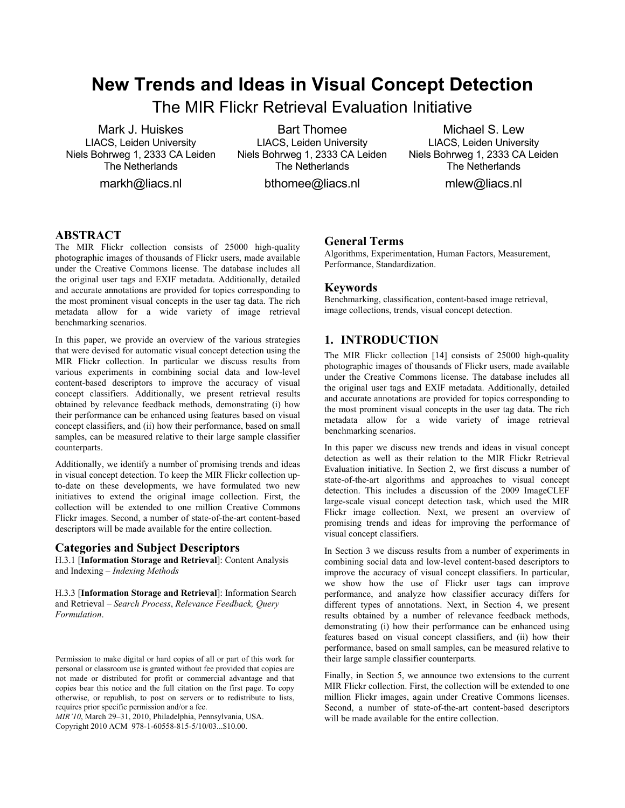# **New Trends and Ideas in Visual Concept Detection**

The MIR Flickr Retrieval Evaluation Initiative

Mark J. Huiskes LIACS, Leiden University Niels Bohrweg 1, 2333 CA Leiden The Netherlands

markh@liacs.nl

Bart Thomee LIACS, Leiden University Niels Bohrweg 1, 2333 CA Leiden The Netherlands

bthomee@liacs.nl

Michael S. Lew LIACS, Leiden University Niels Bohrweg 1, 2333 CA Leiden The Netherlands

mlew@liacs.nl

# **ABSTRACT**

The MIR Flickr collection consists of 25000 high-quality photographic images of thousands of Flickr users, made available under the Creative Commons license. The database includes all the original user tags and EXIF metadata. Additionally, detailed and accurate annotations are provided for topics corresponding to the most prominent visual concepts in the user tag data. The rich metadata allow for a wide variety of image retrieval benchmarking scenarios.

In this paper, we provide an overview of the various strategies that were devised for automatic visual concept detection using the MIR Flickr collection. In particular we discuss results from various experiments in combining social data and low-level content-based descriptors to improve the accuracy of visual concept classifiers. Additionally, we present retrieval results obtained by relevance feedback methods, demonstrating (i) how their performance can be enhanced using features based on visual concept classifiers, and (ii) how their performance, based on small samples, can be measured relative to their large sample classifier counterparts.

Additionally, we identify a number of promising trends and ideas in visual concept detection. To keep the MIR Flickr collection upto-date on these developments, we have formulated two new initiatives to extend the original image collection. First, the collection will be extended to one million Creative Commons Flickr images. Second, a number of state-of-the-art content-based descriptors will be made available for the entire collection.

#### **Categories and Subject Descriptors**

H.3.1 [**Information Storage and Retrieval**]: Content Analysis and Indexing – *Indexing Methods* 

H.3.3 [**Information Storage and Retrieval**]: Information Search and Retrieval – *Search Process*, *Relevance Feedback, Query Formulation*.

*MIR'10*, March 29–31, 2010, Philadelphia, Pennsylvania, USA.

Copyright 2010 ACM 978-1-60558-815-5/10/03...\$10.00.

#### **General Terms**

Algorithms, Experimentation, Human Factors, Measurement, Performance, Standardization.

#### **Keywords**

Benchmarking, classification, content-based image retrieval, image collections, trends, visual concept detection.

#### **1. INTRODUCTION**

The MIR Flickr collection [14] consists of 25000 high-quality photographic images of thousands of Flickr users, made available under the Creative Commons license. The database includes all the original user tags and EXIF metadata. Additionally, detailed and accurate annotations are provided for topics corresponding to the most prominent visual concepts in the user tag data. The rich metadata allow for a wide variety of image retrieval benchmarking scenarios.

In this paper we discuss new trends and ideas in visual concept detection as well as their relation to the MIR Flickr Retrieval Evaluation initiative. In Section 2, we first discuss a number of state-of-the-art algorithms and approaches to visual concept detection. This includes a discussion of the 2009 ImageCLEF large-scale visual concept detection task, which used the MIR Flickr image collection. Next, we present an overview of promising trends and ideas for improving the performance of visual concept classifiers.

In Section 3 we discuss results from a number of experiments in combining social data and low-level content-based descriptors to improve the accuracy of visual concept classifiers. In particular, we show how the use of Flickr user tags can improve performance, and analyze how classifier accuracy differs for different types of annotations. Next, in Section 4, we present results obtained by a number of relevance feedback methods, demonstrating (i) how their performance can be enhanced using features based on visual concept classifiers, and (ii) how their performance, based on small samples, can be measured relative to their large sample classifier counterparts.

Finally, in Section 5, we announce two extensions to the current MIR Flickr collection. First, the collection will be extended to one million Flickr images, again under Creative Commons licenses. Second, a number of state-of-the-art content-based descriptors will be made available for the entire collection.

Permission to make digital or hard copies of all or part of this work for personal or classroom use is granted without fee provided that copies are not made or distributed for profit or commercial advantage and that copies bear this notice and the full citation on the first page. To copy otherwise, or republish, to post on servers or to redistribute to lists, requires prior specific permission and/or a fee.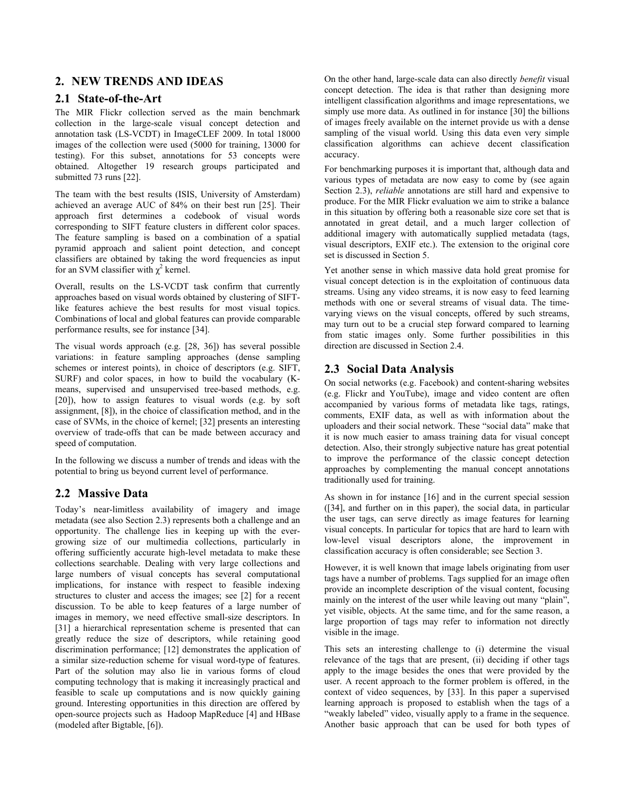#### **2. NEW TRENDS AND IDEAS**

#### **2.1 State-of-the-Art**

The MIR Flickr collection served as the main benchmark collection in the large-scale visual concept detection and annotation task (LS-VCDT) in ImageCLEF 2009. In total 18000 images of the collection were used (5000 for training, 13000 for testing). For this subset, annotations for 53 concepts were obtained. Altogether 19 research groups participated and submitted 73 runs [22].

The team with the best results (ISIS, University of Amsterdam) achieved an average AUC of 84% on their best run [25]. Their approach first determines a codebook of visual words corresponding to SIFT feature clusters in different color spaces. The feature sampling is based on a combination of a spatial pyramid approach and salient point detection, and concept classifiers are obtained by taking the word frequencies as input for an SVM classifier with  $\chi^2$  kernel.

Overall, results on the LS-VCDT task confirm that currently approaches based on visual words obtained by clustering of SIFTlike features achieve the best results for most visual topics. Combinations of local and global features can provide comparable performance results, see for instance [34].

The visual words approach (e.g. [28, 36]) has several possible variations: in feature sampling approaches (dense sampling schemes or interest points), in choice of descriptors (e.g. SIFT, SURF) and color spaces, in how to build the vocabulary (Kmeans, supervised and unsupervised tree-based methods, e.g. [20]), how to assign features to visual words (e.g. by soft assignment, [8]), in the choice of classification method, and in the case of SVMs, in the choice of kernel; [32] presents an interesting overview of trade-offs that can be made between accuracy and speed of computation.

In the following we discuss a number of trends and ideas with the potential to bring us beyond current level of performance.

## **2.2 Massive Data**

Today's near-limitless availability of imagery and image metadata (see also Section 2.3) represents both a challenge and an opportunity. The challenge lies in keeping up with the evergrowing size of our multimedia collections, particularly in offering sufficiently accurate high-level metadata to make these collections searchable. Dealing with very large collections and large numbers of visual concepts has several computational implications, for instance with respect to feasible indexing structures to cluster and access the images; see [2] for a recent discussion. To be able to keep features of a large number of images in memory, we need effective small-size descriptors. In [31] a hierarchical representation scheme is presented that can greatly reduce the size of descriptors, while retaining good discrimination performance; [12] demonstrates the application of a similar size-reduction scheme for visual word-type of features. Part of the solution may also lie in various forms of cloud computing technology that is making it increasingly practical and feasible to scale up computations and is now quickly gaining ground. Interesting opportunities in this direction are offered by open-source projects such as Hadoop MapReduce [4] and HBase (modeled after Bigtable, [6]).

On the other hand, large-scale data can also directly *benefit* visual concept detection. The idea is that rather than designing more intelligent classification algorithms and image representations, we simply use more data. As outlined in for instance [30] the billions of images freely available on the internet provide us with a dense sampling of the visual world. Using this data even very simple classification algorithms can achieve decent classification accuracy.

For benchmarking purposes it is important that, although data and various types of metadata are now easy to come by (see again Section 2.3), *reliable* annotations are still hard and expensive to produce. For the MIR Flickr evaluation we aim to strike a balance in this situation by offering both a reasonable size core set that is annotated in great detail, and a much larger collection of additional imagery with automatically supplied metadata (tags, visual descriptors, EXIF etc.). The extension to the original core set is discussed in Section 5.

Yet another sense in which massive data hold great promise for visual concept detection is in the exploitation of continuous data streams. Using any video streams, it is now easy to feed learning methods with one or several streams of visual data. The timevarying views on the visual concepts, offered by such streams, may turn out to be a crucial step forward compared to learning from static images only. Some further possibilities in this direction are discussed in Section 2.4.

## **2.3 Social Data Analysis**

On social networks (e.g. Facebook) and content-sharing websites (e.g. Flickr and YouTube), image and video content are often accompanied by various forms of metadata like tags, ratings, comments, EXIF data, as well as with information about the uploaders and their social network. These "social data" make that it is now much easier to amass training data for visual concept detection. Also, their strongly subjective nature has great potential to improve the performance of the classic concept detection approaches by complementing the manual concept annotations traditionally used for training.

As shown in for instance [16] and in the current special session ([34], and further on in this paper), the social data, in particular the user tags, can serve directly as image features for learning visual concepts. In particular for topics that are hard to learn with low-level visual descriptors alone, the improvement in classification accuracy is often considerable; see Section 3.

However, it is well known that image labels originating from user tags have a number of problems. Tags supplied for an image often provide an incomplete description of the visual content, focusing mainly on the interest of the user while leaving out many "plain", yet visible, objects. At the same time, and for the same reason, a large proportion of tags may refer to information not directly visible in the image.

This sets an interesting challenge to (i) determine the visual relevance of the tags that are present, (ii) deciding if other tags apply to the image besides the ones that were provided by the user. A recent approach to the former problem is offered, in the context of video sequences, by [33]. In this paper a supervised learning approach is proposed to establish when the tags of a "weakly labeled" video, visually apply to a frame in the sequence. Another basic approach that can be used for both types of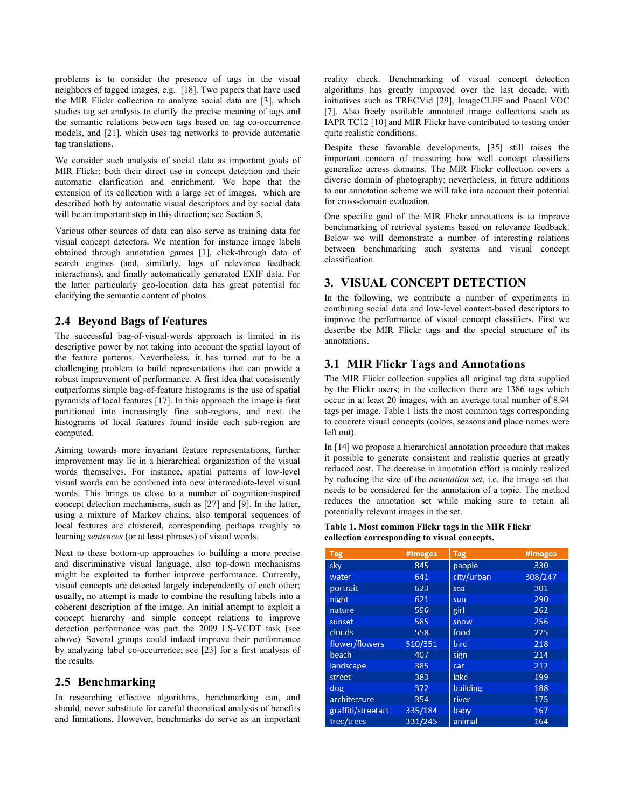problems is to consider the presence of tags in the visual neighbors of tagged images, e.g. [18]. Two papers that have used the MIR Flickr collection to analyze social data are [3], which studies tag set analysis to clarify the precise meaning of tags and the semantic relations between tags based on tag co-occurrence models, and [21], which uses tag networks to provide automatic tag translations.

We consider such analysis of social data as important goals of MIR Flickr: both their direct use in concept detection and their automatic clarification and enrichment. We hope that the extension of its collection with a large set of images, which are described both by automatic visual descriptors and by social data will be an important step in this direction; see Section 5.

Various other sources of data can also serve as training data for visual concept detectors. We mention for instance image labels obtained through annotation games [1], click-through data of search engines (and, similarly, logs of relevance feedback interactions), and finally automatically generated EXIF data. For the latter particularly geo-location data has great potential for clarifying the semantic content of photos.

#### **2.4 Beyond Bags of Features**

The successful bag-of-visual-words approach is limited in its descriptive power by not taking into account the spatial layout of the feature patterns. Nevertheless, it has turned out to be a challenging problem to build representations that can provide a robust improvement of performance. A first idea that consistently outperforms simple bag-of-feature histograms is the use of spatial pyramids of local features [17]. In this approach the image is first partitioned into increasingly fine sub-regions, and next the histograms of local features found inside each sub-region are computed.

Aiming towards more invariant feature representations, further improvement may lie in a hierarchical organization of the visual words themselves. For instance, spatial patterns of low-level visual words can be combined into new intermediate-level visual words. This brings us close to a number of cognition-inspired concept detection mechanisms, such as [27] and [9]. In the latter, using a mixture of Markov chains, also temporal sequences of local features are clustered, corresponding perhaps roughly to learning *sentences* (or at least phrases) of visual words.

Next to these bottom-up approaches to building a more precise and discriminative visual language, also top-down mechanisms might be exploited to further improve performance. Currently, visual concepts are detected largely independently of each other; usually, no attempt is made to combine the resulting labels into a coherent description of the image. An initial attempt to exploit a concept hierarchy and simple concept relations to improve detection performance was part the 2009 LS-VCDT task (see above). Several groups could indeed improve their performance by analyzing label co-occurrence; see [23] for a first analysis of the results.

## **2.5 Benchmarking**

In researching effective algorithms, benchmarking can, and should, never substitute for careful theoretical analysis of benefits and limitations. However, benchmarks do serve as an important reality check. Benchmarking of visual concept detection algorithms has greatly improved over the last decade, with initiatives such as TRECVid [29], ImageCLEF and Pascal VOC [7]. Also freely available annotated image collections such as IAPR TC12 [10] and MIR Flickr have contributed to testing under quite realistic conditions.

Despite these favorable developments, [35] still raises the important concern of measuring how well concept classifiers generalize across domains. The MIR Flickr collection covers a diverse domain of photography; nevertheless, in future additions to our annotation scheme we will take into account their potential for cross-domain evaluation.

One specific goal of the MIR Flickr annotations is to improve benchmarking of retrieval systems based on relevance feedback. Below we will demonstrate a number of interesting relations between benchmarking such systems and visual concept classification.

# **3. VISUAL CONCEPT DETECTION**

In the following, we contribute a number of experiments in combining social data and low-level content-based descriptors to improve the performance of visual concept classifiers. First we describe the MIR Flickr tags and the special structure of its annotations.

## **3.1 MIR Flickr Tags and Annotations**

The MIR Flickr collection supplies all original tag data supplied by the Flickr users; in the collection there are 1386 tags which occur in at least 20 images, with an average total number of 8.94 tags per image. Table 1 lists the most common tags corresponding to concrete visual concepts (colors, seasons and place names were left out).

In [14] we propose a hierarchical annotation procedure that makes it possible to generate consistent and realistic queries at greatly reduced cost. The decrease in annotation effort is mainly realized by reducing the size of the *annotation set*, i.e. the image set that needs to be considered for the annotation of a topic. The method reduces the annotation set while making sure to retain all potentially relevant images in the set.

#### **Table 1. Most common Flickr tags in the MIR Flickr collection corresponding to visual concepts.**

| <b>Tag</b>         | #Images | <b>Tag</b> | #Images |
|--------------------|---------|------------|---------|
| sky                | 845     | people     | 330     |
| water              | 641     | city/urban | 308/247 |
| portrait           | 623     | sea        | 301     |
| night              | 621     | sun        | 290     |
| nature             | 596     | girl       | 262     |
| sunset             | 585     | snow       | 256     |
| clouds             | 558     | food       | 225     |
| flower/flowers     | 510/351 | bird       | 218     |
| beach              | 407     | sign       | 214     |
| landscape          | 385     | car        | 212     |
| street             | 383     | lake       | 199     |
| dog                | 372     | building   | 188     |
| architecture       | 354     | river      | 175     |
| graffiti/streetart | 335/184 | baby       | 167     |
| tree/trees         | 331/245 | animal     | 164     |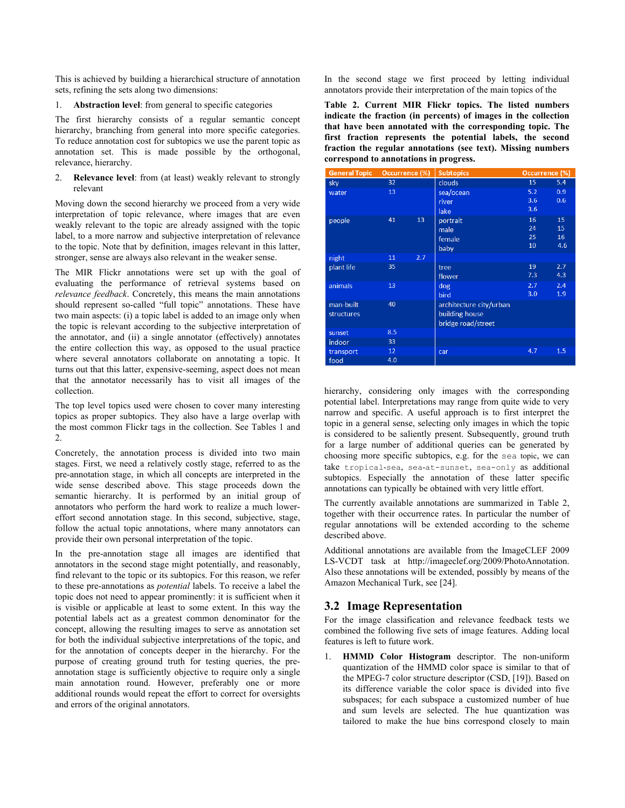This is achieved by building a hierarchical structure of annotation sets, refining the sets along two dimensions:

1. **Abstraction level**: from general to specific categories

The first hierarchy consists of a regular semantic concept hierarchy, branching from general into more specific categories. To reduce annotation cost for subtopics we use the parent topic as annotation set. This is made possible by the orthogonal, relevance, hierarchy.

2. **Relevance level**: from (at least) weakly relevant to strongly relevant

Moving down the second hierarchy we proceed from a very wide interpretation of topic relevance, where images that are even weakly relevant to the topic are already assigned with the topic label, to a more narrow and subjective interpretation of relevance to the topic. Note that by definition, images relevant in this latter, stronger, sense are always also relevant in the weaker sense.

The MIR Flickr annotations were set up with the goal of evaluating the performance of retrieval systems based on *relevance feedback*. Concretely, this means the main annotations should represent so-called "full topic" annotations. These have two main aspects: (i) a topic label is added to an image only when the topic is relevant according to the subjective interpretation of the annotator, and (ii) a single annotator (effectively) annotates the entire collection this way, as opposed to the usual practice where several annotators collaborate on annotating a topic. It turns out that this latter, expensive-seeming, aspect does not mean that the annotator necessarily has to visit all images of the collection.

The top level topics used were chosen to cover many interesting topics as proper subtopics. They also have a large overlap with the most common Flickr tags in the collection. See Tables 1 and 2.

Concretely, the annotation process is divided into two main stages. First, we need a relatively costly stage, referred to as the pre-annotation stage, in which all concepts are interpreted in the wide sense described above. This stage proceeds down the semantic hierarchy. It is performed by an initial group of annotators who perform the hard work to realize a much lowereffort second annotation stage. In this second, subjective, stage, follow the actual topic annotations, where many annotators can provide their own personal interpretation of the topic.

In the pre-annotation stage all images are identified that annotators in the second stage might potentially, and reasonably, find relevant to the topic or its subtopics. For this reason, we refer to these pre-annotations as *potential* labels. To receive a label the topic does not need to appear prominently: it is sufficient when it is visible or applicable at least to some extent. In this way the potential labels act as a greatest common denominator for the concept, allowing the resulting images to serve as annotation set for both the individual subjective interpretations of the topic, and for the annotation of concepts deeper in the hierarchy. For the purpose of creating ground truth for testing queries, the preannotation stage is sufficiently objective to require only a single main annotation round. However, preferably one or more additional rounds would repeat the effort to correct for oversights and errors of the original annotators.

In the second stage we first proceed by letting individual annotators provide their interpretation of the main topics of the

**Table 2. Current MIR Flickr topics. The listed numbers indicate the fraction (in percents) of images in the collection that have been annotated with the corresponding topic. The first fraction represents the potential labels, the second fraction the regular annotations (see text). Missing numbers correspond to annotations in progress.** 

| <b>General Topic</b> | Occurrence (%)  |     | <b>Subtopics</b>        | Occurrence (%) |     |
|----------------------|-----------------|-----|-------------------------|----------------|-----|
| sky                  | 32 <sub>2</sub> |     | clouds                  | 15             | 5.4 |
| water                | 13              |     | sea/ocean               | 5.2            | 0.9 |
|                      |                 |     | river                   | 3.6            | 0.6 |
|                      |                 |     | lake                    | 3.6            |     |
| people               | 41              | 13  | portrait                | 16             | 15  |
|                      |                 |     | male                    | 24             | 15  |
|                      |                 |     | female                  | 25             | 16  |
|                      |                 |     | baby                    | 10             | 4.6 |
| night                | 11              | 2.7 |                         |                |     |
| plant life           | 35              |     | tree                    | 19             | 2.7 |
|                      |                 |     | flower                  | 7.3            | 4.3 |
| animals              | 13              |     | dog                     | 2.7            | 2.4 |
|                      |                 |     | bird                    | 3.0            | 1.9 |
| man-built            | 40              |     | architecture city/urban |                |     |
| <b>structures</b>    |                 |     | building house          |                |     |
|                      |                 |     | bridge road/street      |                |     |
| sunset               | 8.5             |     |                         |                |     |
| indoor               | 33              |     |                         |                |     |
| transport            | 12              |     | car                     | 4.7            | 1.5 |
| food                 | 4.0             |     |                         |                |     |

hierarchy, considering only images with the corresponding potential label. Interpretations may range from quite wide to very narrow and specific. A useful approach is to first interpret the topic in a general sense, selecting only images in which the topic is considered to be saliently present. Subsequently, ground truth for a large number of additional queries can be generated by choosing more specific subtopics, e.g. for the sea topic, we can take tropical-sea, sea-at-sunset, sea-only as additional subtopics. Especially the annotation of these latter specific annotations can typically be obtained with very little effort.

The currently available annotations are summarized in Table 2, together with their occurrence rates. In particular the number of regular annotations will be extended according to the scheme described above.

Additional annotations are available from the ImageCLEF 2009 LS-VCDT task at http://imageclef.org/2009/PhotoAnnotation. Also these annotations will be extended, possibly by means of the Amazon Mechanical Turk, see [24].

## **3.2 Image Representation**

For the image classification and relevance feedback tests we combined the following five sets of image features. Adding local features is left to future work.

1. **HMMD Color Histogram** descriptor. The non-uniform quantization of the HMMD color space is similar to that of the MPEG-7 color structure descriptor (CSD, [19]). Based on its difference variable the color space is divided into five subspaces; for each subspace a customized number of hue and sum levels are selected. The hue quantization was tailored to make the hue bins correspond closely to main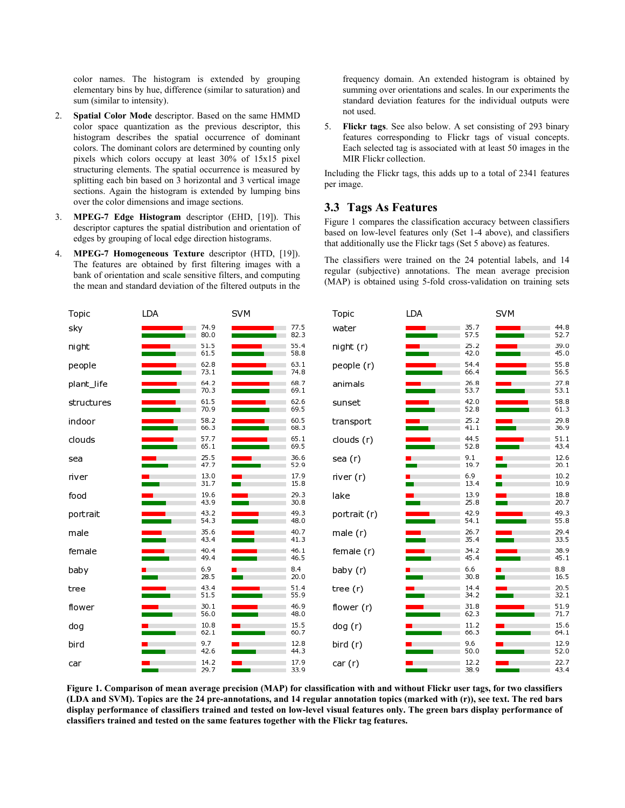color names. The histogram is extended by grouping elementary bins by hue, difference (similar to saturation) and sum (similar to intensity).

- 2. **Spatial Color Mode** descriptor. Based on the same HMMD color space quantization as the previous descriptor, this histogram describes the spatial occurrence of dominant colors. The dominant colors are determined by counting only pixels which colors occupy at least 30% of 15x15 pixel structuring elements. The spatial occurrence is measured by splitting each bin based on 3 horizontal and 3 vertical image sections. Again the histogram is extended by lumping bins over the color dimensions and image sections.
- 3. **MPEG-7 Edge Histogram** descriptor (EHD, [19]). This descriptor captures the spatial distribution and orientation of edges by grouping of local edge direction histograms.
- 4. **MPEG-7 Homogeneous Texture** descriptor (HTD, [19]). The features are obtained by first filtering images with a bank of orientation and scale sensitive filters, and computing the mean and standard deviation of the filtered outputs in the

frequency domain. An extended histogram is obtained by summing over orientations and scales. In our experiments the standard deviation features for the individual outputs were not used.

5. **Flickr tags**. See also below. A set consisting of 293 binary features corresponding to Flickr tags of visual concepts. Each selected tag is associated with at least 50 images in the MIR Flickr collection.

Including the Flickr tags, this adds up to a total of 2341 features per image.

#### **3.3 Tags As Features**

Figure 1 compares the classification accuracy between classifiers based on low-level features only (Set 1-4 above), and classifiers that additionally use the Flickr tags (Set 5 above) as features.

The classifiers were trained on the 24 potential labels, and 14 regular (subjective) annotations. The mean average precision (MAP) is obtained using 5-fold cross-validation on training sets

| Topic      | LDA                               |              | <b>SVM</b>                                             |              | Topic        | LDA |              | <b>SVM</b> |              |
|------------|-----------------------------------|--------------|--------------------------------------------------------|--------------|--------------|-----|--------------|------------|--------------|
| sky        | and the state of the state of the | 74.9<br>80.0 | <b>The Committee of the Committee of the Committee</b> | 77.5<br>82.3 | water        |     | 35.7<br>57.5 |            | 44.8<br>52.7 |
| ni ght     |                                   | 51.5<br>61.5 |                                                        | 55.4<br>58.8 | night (r)    |     | 25.2<br>42.0 |            | 39.0<br>45.0 |
| people     |                                   | 62.8<br>73.1 |                                                        | 63.1<br>74.8 | people (r)   |     | 54.4<br>66.4 |            | 55.8<br>56.5 |
| plant_life |                                   | 64.2<br>70.3 |                                                        | 68.7<br>69.1 | animals      |     | 26.8<br>53.7 |            | 27.8<br>53.1 |
| structures |                                   | 61.5<br>70.9 |                                                        | 62.6<br>69.5 | sunset       |     | 42.0<br>52.8 |            | 58.8<br>61.3 |
| indoor     |                                   | 58.2<br>66.3 |                                                        | 60.5<br>68.3 | transport    |     | 25.2<br>41.1 |            | 29.8<br>36.9 |
| clouds     |                                   | 57.7<br>65.1 |                                                        | 65.1<br>69.5 | clouds (r)   |     | 44.5<br>52.8 |            | 51.1<br>43.4 |
| sea        |                                   | 25.5<br>47.7 |                                                        | 36.6<br>52.9 | sea (r)      |     | 9.1<br>19.7  |            | 12.6<br>20.1 |
| river      |                                   | 13.0<br>31.7 |                                                        | 17.9<br>15.8 | river (r)    |     | 6.9<br>13.4  |            | 10.2<br>10.9 |
| food       |                                   | 19.6<br>43.9 |                                                        | 29.3<br>30.8 | lake         |     | 13.9<br>25.8 |            | 18.8<br>20.7 |
| portrait   |                                   | 43.2<br>54.3 |                                                        | 49.3<br>48.0 | portrait (r) |     | 42.9<br>54.1 |            | 49.3<br>55.8 |
| male       |                                   | 35.6<br>43.4 |                                                        | 40.7<br>41.3 | male(r)      |     | 26.7<br>35.4 |            | 29.4<br>33.5 |
| female     |                                   | 40.4<br>49.4 |                                                        | 46.1<br>46.5 | female (r)   |     | 34.2<br>45.4 |            | 38.9<br>45.1 |
| baby       |                                   | 6.9<br>28.5  |                                                        | 8.4<br>20.0  | baby (r)     |     | 6.6<br>30.8  |            | 8.8<br>16.5  |
| tree       |                                   | 43.4<br>51.5 |                                                        | 51.4<br>55.9 | tree (r)     |     | 14.4<br>34.2 |            | 20.5<br>32.1 |
| flower     |                                   | 30.1<br>56.0 |                                                        | 46.9<br>48.0 | flower (r)   |     | 31.8<br>62.3 |            | 51.9<br>71.7 |
| dog        |                                   | 10.8<br>62.1 |                                                        | 15.5<br>60.7 | dog (r)      |     | 11.2<br>66.3 |            | 15.6<br>64.1 |
| bird       |                                   | 9.7<br>42.6  |                                                        | 12.8<br>44.3 | bird (r)     |     | 9.6<br>50.0  |            | 12.9<br>52.0 |
| car        |                                   | 14.2<br>29.7 | $\mathcal{L}(\mathcal{A})$                             | 17.9<br>33.9 | car (r)      |     | 12.2<br>38.9 |            | 22.7<br>43.4 |

**Figure 1. Comparison of mean average precision (MAP) for classification with and without Flickr user tags, for two classifiers (LDA and SVM). Topics are the 24 pre-annotations, and 14 regular annotation topics (marked with (r)), see text. The red bars display performance of classifiers trained and tested on low-level visual features only. The green bars display performance of classifiers trained and tested on the same features together with the Flickr tag features.**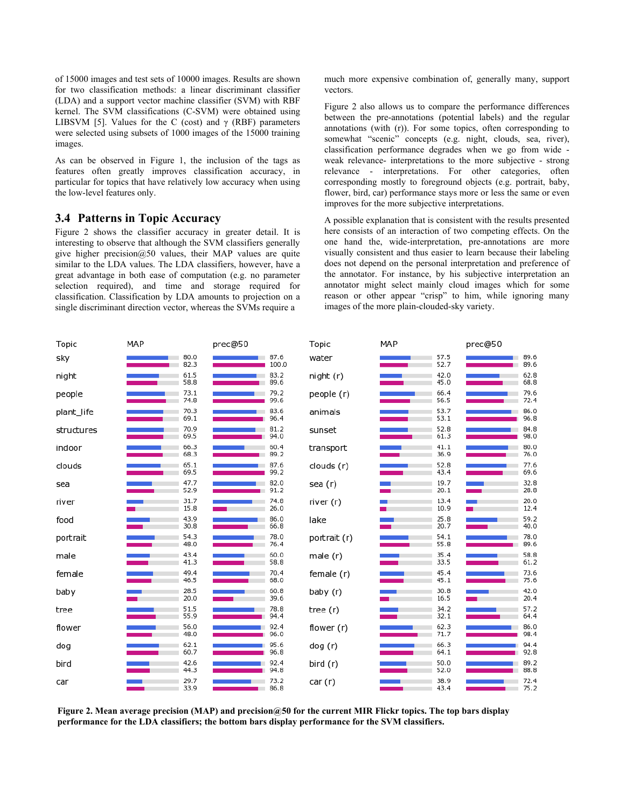of 15000 images and test sets of 10000 images. Results are shown for two classification methods: a linear discriminant classifier (LDA) and a support vector machine classifier (SVM) with RBF kernel. The SVM classifications (C-SVM) were obtained using LIBSVM [5]. Values for the C (cost) and  $\gamma$  (RBF) parameters were selected using subsets of 1000 images of the 15000 training images.

As can be observed in Figure 1, the inclusion of the tags as features often greatly improves classification accuracy, in particular for topics that have relatively low accuracy when using the low-level features only.

#### **3.4 Patterns in Topic Accuracy**

Figure 2 shows the classifier accuracy in greater detail. It is interesting to observe that although the SVM classifiers generally give higher precision $@50$  values, their MAP values are quite similar to the LDA values. The LDA classifiers, however, have a great advantage in both ease of computation (e.g. no parameter selection required), and time and storage required for classification. Classification by LDA amounts to projection on a single discriminant direction vector, whereas the SVMs require a

much more expensive combination of, generally many, support vectors.

Figure 2 also allows us to compare the performance differences between the pre-annotations (potential labels) and the regular annotations (with (r)). For some topics, often corresponding to somewhat "scenic" concepts (e.g. night, clouds, sea, river), classification performance degrades when we go from wide weak relevance- interpretations to the more subjective - strong relevance - interpretations. For other categories, often corresponding mostly to foreground objects (e.g. portrait, baby, flower, bird, car) performance stays more or less the same or even improves for the more subjective interpretations.

A possible explanation that is consistent with the results presented here consists of an interaction of two competing effects. On the one hand the, wide-interpretation, pre-annotations are more visually consistent and thus easier to learn because their labeling does not depend on the personal interpretation and preference of the annotator. For instance, by his subjective interpretation an annotator might select mainly cloud images which for some reason or other appear "crisp" to him, while ignoring many images of the more plain-clouded-sky variety.

| Topic      | MAP                      |              |                                | prec@50       |              | MAP             |              | prec@50 |              |
|------------|--------------------------|--------------|--------------------------------|---------------|--------------|-----------------|--------------|---------|--------------|
| sky        |                          | 80.0<br>82.3 |                                | 87.6<br>100.0 | water        |                 | 57.5<br>52.7 |         | 89.6<br>89.6 |
| ni ght     |                          | 61.5<br>58.8 |                                | 83.2<br>89.6  | night(r)     |                 | 42.0<br>45.0 |         | 62.8<br>68.8 |
| people     |                          | 73.1<br>74.8 |                                | 79.2<br>99.6  | people (r)   |                 | 66.4<br>56.5 |         | 79.6<br>72.4 |
| plant_life |                          | 70.3<br>69.1 |                                | 83.6<br>96.4  | animals      |                 | 53.7<br>53.1 |         | 86.0<br>96.8 |
| structures | <b>Contract Contract</b> | 70.9<br>69.5 | and the company of the company | 81.2<br>94.0  | sunset       | <b>Contract</b> | 52.8<br>61.3 |         | 84.8<br>98.0 |
| indoor     |                          | 66.3<br>68.3 |                                | 60.4<br>89.2  | transport    |                 | 41.1<br>36.9 |         | 80.0<br>76.0 |
| clouds     |                          | 65.1<br>69.5 |                                | 87.6<br>99.2  | clouds (r)   |                 | 52.8<br>43.4 |         | 77.6<br>69.6 |
| sea        |                          | 47.7<br>52.9 |                                | 82.0<br>91.2  | sea (r)      |                 | 19.7<br>20.1 |         | 32.8<br>28.8 |
| river      |                          | 31.7<br>15.8 |                                | 74.8<br>26.0  | river (r)    |                 | 13.4<br>10.9 |         | 20.0<br>12.4 |
| food       |                          | 43.9<br>30.8 |                                | 86.0<br>66.8  | lake         |                 | 25.8<br>20.7 |         | 59.2<br>40.0 |
| portrait   |                          | 54.3<br>48.0 |                                | 78.0<br>76.4  | portrait (r) |                 | 54.1<br>55.8 |         | 78.0<br>89.6 |
| male       |                          | 43.4<br>41.3 |                                | 60.0<br>58.8  | male(r)      |                 | 35.4<br>33.5 |         | 58.8<br>61.2 |
| female     |                          | 49.4<br>46.5 |                                | 70.4<br>68.0  | female (r)   |                 | 45.4<br>45.1 |         | 73.6<br>75.6 |
| baby       |                          | 28.5<br>20.0 |                                | 60.8<br>39.6  | baby (r)     |                 | 30.8<br>16.5 |         | 42.0<br>20.4 |
| tree       |                          | 51.5<br>55.9 |                                | 78.8<br>94.4  | tree $(r)$   |                 | 34.2<br>32.1 |         | 57.2<br>64.4 |
| flower     |                          | 56.0<br>48.0 |                                | 92.4<br>96.0  | flower (r)   |                 | 62.3<br>71.7 |         | 86.0<br>98.4 |
| dog        |                          | 62.1<br>60.7 |                                | 95.6<br>96.8  | dog (r)      |                 | 66.3<br>64.1 |         | 94.4<br>92.8 |
| bird       |                          | 42.6<br>44.3 |                                | 92.4<br>94.8  | bird (r)     |                 | 50.0<br>52.0 |         | 89.2<br>88.8 |
| car        |                          | 29.7<br>33.9 | ٠                              | 73.2<br>86.8  | car (r)      |                 | 38.9<br>43.4 |         | 72.4<br>75.2 |

**Figure 2. Mean average precision (MAP) and precision@50 for the current MIR Flickr topics. The top bars display performance for the LDA classifiers; the bottom bars display performance for the SVM classifiers.**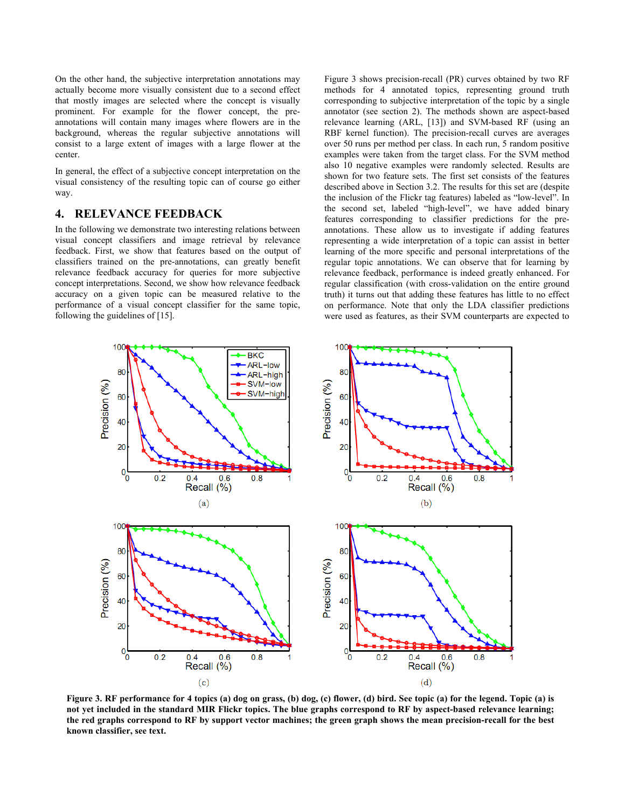On the other hand, the subjective interpretation annotations may actually become more visually consistent due to a second effect that mostly images are selected where the concept is visually prominent. For example for the flower concept, the preannotations will contain many images where flowers are in the background, whereas the regular subjective annotations will consist to a large extent of images with a large flower at the center.

In general, the effect of a subjective concept interpretation on the visual consistency of the resulting topic can of course go either way.

#### **4. RELEVANCE FEEDBACK**

In the following we demonstrate two interesting relations between visual concept classifiers and image retrieval by relevance feedback. First, we show that features based on the output of classifiers trained on the pre-annotations, can greatly benefit relevance feedback accuracy for queries for more subjective concept interpretations. Second, we show how relevance feedback accuracy on a given topic can be measured relative to the performance of a visual concept classifier for the same topic, following the guidelines of [15].

Figure 3 shows precision-recall (PR) curves obtained by two RF methods for 4 annotated topics, representing ground truth corresponding to subjective interpretation of the topic by a single annotator (see section 2). The methods shown are aspect-based relevance learning (ARL, [13]) and SVM-based RF (using an RBF kernel function). The precision-recall curves are averages over 50 runs per method per class. In each run, 5 random positive examples were taken from the target class. For the SVM method also 10 negative examples were randomly selected. Results are shown for two feature sets. The first set consists of the features described above in Section 3.2. The results for this set are (despite the inclusion of the Flickr tag features) labeled as "low-level". In the second set, labeled "high-level", we have added binary features corresponding to classifier predictions for the preannotations. These allow us to investigate if adding features representing a wide interpretation of a topic can assist in better learning of the more specific and personal interpretations of the regular topic annotations. We can observe that for learning by relevance feedback, performance is indeed greatly enhanced. For regular classification (with cross-validation on the entire ground truth) it turns out that adding these features has little to no effect on performance. Note that only the LDA classifier predictions were used as features, as their SVM counterparts are expected to



**Figure 3. RF performance for 4 topics (a) dog on grass, (b) dog, (c) flower, (d) bird. See topic (a) for the legend. Topic (a) is not yet included in the standard MIR Flickr topics. The blue graphs correspond to RF by aspect-based relevance learning; the red graphs correspond to RF by support vector machines; the green graph shows the mean precision-recall for the best known classifier, see text.**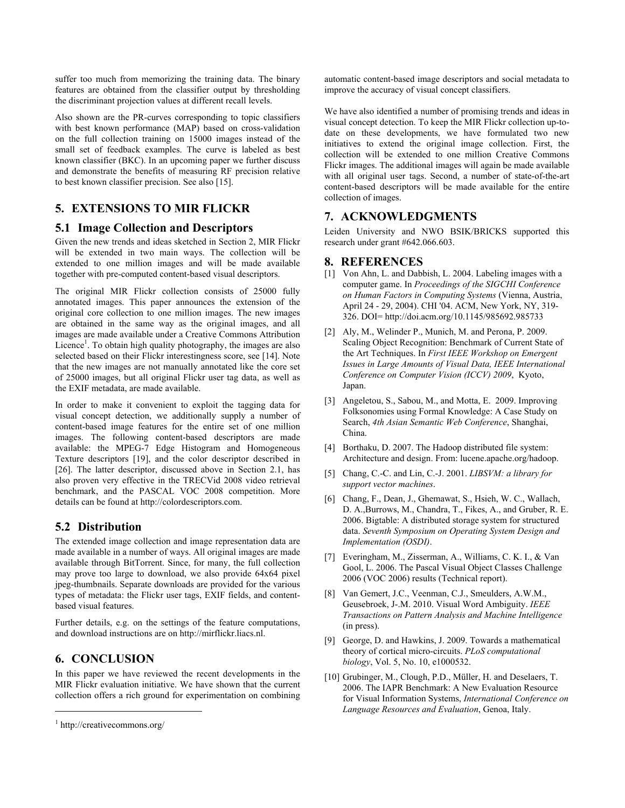suffer too much from memorizing the training data. The binary features are obtained from the classifier output by thresholding the discriminant projection values at different recall levels.

Also shown are the PR-curves corresponding to topic classifiers with best known performance (MAP) based on cross-validation on the full collection training on 15000 images instead of the small set of feedback examples. The curve is labeled as best known classifier (BKC). In an upcoming paper we further discuss and demonstrate the benefits of measuring RF precision relative to best known classifier precision. See also [15].

# **5. EXTENSIONS TO MIR FLICKR**

## **5.1 Image Collection and Descriptors**

Given the new trends and ideas sketched in Section 2, MIR Flickr will be extended in two main ways. The collection will be extended to one million images and will be made available together with pre-computed content-based visual descriptors.

The original MIR Flickr collection consists of 25000 fully annotated images. This paper announces the extension of the original core collection to one million images. The new images are obtained in the same way as the original images, and all images are made available under a Creative Commons Attribution Licence<sup>1</sup>. To obtain high quality photography, the images are also selected based on their Flickr interestingness score, see [14]. Note that the new images are not manually annotated like the core set of 25000 images, but all original Flickr user tag data, as well as the EXIF metadata, are made available.

In order to make it convenient to exploit the tagging data for visual concept detection, we additionally supply a number of content-based image features for the entire set of one million images. The following content-based descriptors are made available: the MPEG-7 Edge Histogram and Homogeneous Texture descriptors [19], and the color descriptor described in [26]. The latter descriptor, discussed above in Section 2.1, has also proven very effective in the TRECVid 2008 video retrieval benchmark, and the PASCAL VOC 2008 competition. More details can be found at http://colordescriptors.com.

# **5.2 Distribution**

The extended image collection and image representation data are made available in a number of ways. All original images are made available through BitTorrent. Since, for many, the full collection may prove too large to download, we also provide 64x64 pixel jpeg-thumbnails. Separate downloads are provided for the various types of metadata: the Flickr user tags, EXIF fields, and contentbased visual features.

Further details, e.g. on the settings of the feature computations, and download instructions are on http://mirflickr.liacs.nl.

# **6. CONCLUSION**

In this paper we have reviewed the recent developments in the MIR Flickr evaluation initiative. We have shown that the current collection offers a rich ground for experimentation on combining

 $\overline{a}$ 

automatic content-based image descriptors and social metadata to improve the accuracy of visual concept classifiers.

We have also identified a number of promising trends and ideas in visual concept detection. To keep the MIR Flickr collection up-todate on these developments, we have formulated two new initiatives to extend the original image collection. First, the collection will be extended to one million Creative Commons Flickr images. The additional images will again be made available with all original user tags. Second, a number of state-of-the-art content-based descriptors will be made available for the entire collection of images.

# **7. ACKNOWLEDGMENTS**

Leiden University and NWO BSIK/BRICKS supported this research under grant #642.066.603.

# **8. REFERENCES**

- [1] Von Ahn, L. and Dabbish, L. 2004. Labeling images with a computer game. In *Proceedings of the SIGCHI Conference on Human Factors in Computing Systems* (Vienna, Austria, April 24 - 29, 2004). CHI '04. ACM, New York, NY, 319- 326. DOI= http://doi.acm.org/10.1145/985692.985733
- [2] Aly, M., Welinder P., Munich, M. and Perona, P. 2009. Scaling Object Recognition: Benchmark of Current State of the Art Techniques. In *First IEEE Workshop on Emergent Issues in Large Amounts of Visual Data, IEEE International Conference on Computer Vision (ICCV) 2009*, Kyoto, Japan.
- [3] Angeletou, S., Sabou, M., and Motta, E. 2009. Improving Folksonomies using Formal Knowledge: A Case Study on Search, *4th Asian Semantic Web Conference*, Shanghai, China.
- [4] Borthaku, D. 2007. The Hadoop distributed file system: Architecture and design. From: lucene.apache.org/hadoop.
- [5] Chang, C.-C. and Lin, C.-J. 2001. *LIBSVM: a library for support vector machines*.
- [6] Chang, F., Dean, J., Ghemawat, S., Hsieh, W. C., Wallach, D. A.,Burrows, M., Chandra, T., Fikes, A., and Gruber, R. E. 2006. Bigtable: A distributed storage system for structured data. *Seventh Symposium on Operating System Design and Implementation (OSDI)*.
- [7] Everingham, M., Zisserman, A., Williams, C. K. I., & Van Gool, L. 2006. The Pascal Visual Object Classes Challenge 2006 (VOC 2006) results (Technical report).
- [8] Van Gemert, J.C., Veenman, C.J., Smeulders, A.W.M., Geusebroek, J-.M. 2010. Visual Word Ambiguity. *IEEE Transactions on Pattern Analysis and Machine Intelligence* (in press).
- [9] George, D. and Hawkins, J. 2009. Towards a mathematical theory of cortical micro-circuits. *PLoS computational biology*, Vol. 5, No. 10, e1000532.
- [10] Grubinger, M., Clough, P.D., Müller, H. and Deselaers, T. 2006. The IAPR Benchmark: A New Evaluation Resource for Visual Information Systems, *International Conference on Language Resources and Evaluation*, Genoa, Italy.

<sup>1</sup> http://creativecommons.org/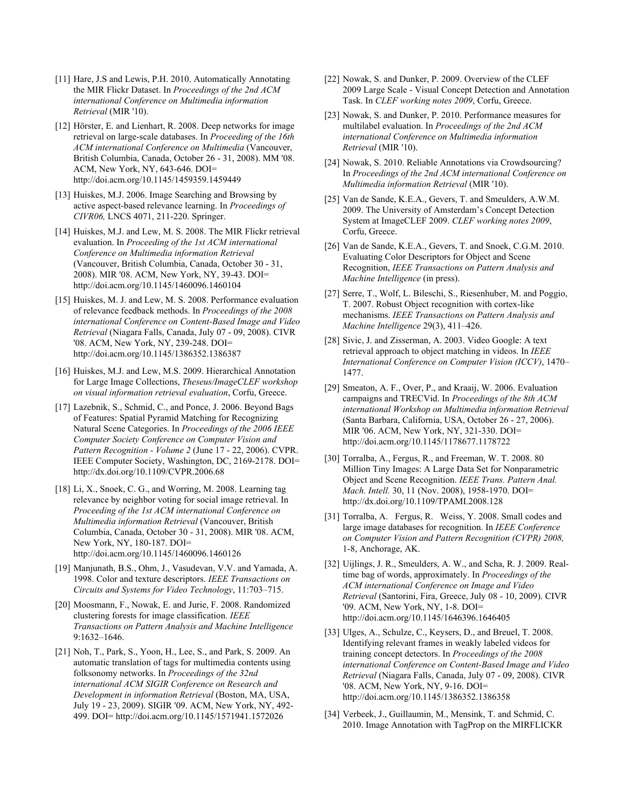- [11] Hare, J.S and Lewis, P.H. 2010. Automatically Annotating the MIR Flickr Dataset. In *Proceedings of the 2nd ACM international Conference on Multimedia information Retrieval* (MIR '10).
- [12] Hörster, E. and Lienhart, R. 2008. Deep networks for image retrieval on large-scale databases. In *Proceeding of the 16th ACM international Conference on Multimedia* (Vancouver, British Columbia, Canada, October 26 - 31, 2008). MM '08. ACM, New York, NY, 643-646. DOI= http://doi.acm.org/10.1145/1459359.1459449
- [13] Huiskes, M.J. 2006. Image Searching and Browsing by active aspect-based relevance learning. In *Proceedings of CIVR06,* LNCS 4071, 211-220. Springer.
- [14] Huiskes, M.J. and Lew, M. S. 2008. The MIR Flickr retrieval evaluation. In *Proceeding of the 1st ACM international Conference on Multimedia information Retrieval* (Vancouver, British Columbia, Canada, October 30 - 31, 2008). MIR '08. ACM, New York, NY, 39-43. DOI= http://doi.acm.org/10.1145/1460096.1460104
- [15] Huiskes, M. J. and Lew, M. S. 2008. Performance evaluation of relevance feedback methods. In *Proceedings of the 2008 international Conference on Content-Based Image and Video Retrieval* (Niagara Falls, Canada, July 07 - 09, 2008). CIVR '08. ACM, New York, NY, 239-248. DOI= http://doi.acm.org/10.1145/1386352.1386387
- [16] Huiskes, M.J. and Lew, M.S. 2009. Hierarchical Annotation for Large Image Collections, *Theseus/ImageCLEF workshop on visual information retrieval evaluation*, Corfu, Greece.
- [17] Lazebnik, S., Schmid, C., and Ponce, J. 2006. Beyond Bags of Features: Spatial Pyramid Matching for Recognizing Natural Scene Categories. In *Proceedings of the 2006 IEEE Computer Society Conference on Computer Vision and Pattern Recognition - Volume 2* (June 17 - 22, 2006). CVPR. IEEE Computer Society, Washington, DC, 2169-2178. DOI= http://dx.doi.org/10.1109/CVPR.2006.68
- [18] Li, X., Snoek, C. G., and Worring, M. 2008. Learning tag relevance by neighbor voting for social image retrieval. In *Proceeding of the 1st ACM international Conference on Multimedia information Retrieval* (Vancouver, British Columbia, Canada, October 30 - 31, 2008). MIR '08. ACM, New York, NY, 180-187. DOI= http://doi.acm.org/10.1145/1460096.1460126
- [19] Manjunath, B.S., Ohm, J., Vasudevan, V.V. and Yamada, A. 1998. Color and texture descriptors. *IEEE Transactions on Circuits and Systems for Video Technology*, 11:703–715.
- [20] Moosmann, F., Nowak, E. and Jurie, F. 2008. Randomized clustering forests for image classification. *IEEE Transactions on Pattern Analysis and Machine Intelligence* 9:1632–1646.
- [21] Noh, T., Park, S., Yoon, H., Lee, S., and Park, S. 2009. An automatic translation of tags for multimedia contents using folksonomy networks. In *Proceedings of the 32nd international ACM SIGIR Conference on Research and Development in information Retrieval* (Boston, MA, USA, July 19 - 23, 2009). SIGIR '09. ACM, New York, NY, 492- 499. DOI= http://doi.acm.org/10.1145/1571941.1572026
- [22] Nowak, S. and Dunker, P. 2009. Overview of the CLEF 2009 Large Scale - Visual Concept Detection and Annotation Task. In *CLEF working notes 2009*, Corfu, Greece.
- [23] Nowak, S. and Dunker, P. 2010. Performance measures for multilabel evaluation. In *Proceedings of the 2nd ACM international Conference on Multimedia information Retrieval* (MIR '10).
- [24] Nowak, S. 2010. Reliable Annotations via Crowdsourcing? In *Proceedings of the 2nd ACM international Conference on Multimedia information Retrieval* (MIR '10).
- [25] Van de Sande, K.E.A., Gevers, T. and Smeulders, A.W.M. 2009. The University of Amsterdam's Concept Detection System at ImageCLEF 2009. *CLEF working notes 2009*, Corfu, Greece.
- [26] Van de Sande, K.E.A., Gevers, T. and Snoek, C.G.M. 2010. Evaluating Color Descriptors for Object and Scene Recognition, *IEEE Transactions on Pattern Analysis and Machine Intelligence* (in press).
- [27] Serre, T., Wolf, L. Bileschi, S., Riesenhuber, M. and Poggio, T. 2007. Robust Object recognition with cortex-like mechanisms. *IEEE Transactions on Pattern Analysis and Machine Intelligence* 29(3), 411–426.
- [28] Sivic, J. and Zisserman, A. 2003. Video Google: A text retrieval approach to object matching in videos. In *IEEE International Conference on Computer Vision (ICCV)*, 1470– 1477.
- [29] Smeaton, A. F., Over, P., and Kraaij, W. 2006. Evaluation campaigns and TRECVid. In *Proceedings of the 8th ACM international Workshop on Multimedia information Retrieval* (Santa Barbara, California, USA, October 26 - 27, 2006). MIR '06. ACM, New York, NY, 321-330. DOI= http://doi.acm.org/10.1145/1178677.1178722
- [30] Torralba, A., Fergus, R., and Freeman, W. T. 2008. 80 Million Tiny Images: A Large Data Set for Nonparametric Object and Scene Recognition. *IEEE Trans. Pattern Anal. Mach. Intell.* 30, 11 (Nov. 2008), 1958-1970. DOI= http://dx.doi.org/10.1109/TPAMI.2008.128
- [31] Torralba, A. Fergus, R. Weiss, Y. 2008. Small codes and large image databases for recognition. In *IEEE Conference on Computer Vision and Pattern Recognition (CVPR) 2008,*  1-8, Anchorage, AK.
- [32] Uijlings, J. R., Smeulders, A. W., and Scha, R. J. 2009. Realtime bag of words, approximately. In *Proceedings of the ACM international Conference on Image and Video Retrieval* (Santorini, Fira, Greece, July 08 - 10, 2009). CIVR '09. ACM, New York, NY, 1-8. DOI= http://doi.acm.org/10.1145/1646396.1646405
- [33] Ulges, A., Schulze, C., Keysers, D., and Breuel, T. 2008. Identifying relevant frames in weakly labeled videos for training concept detectors. In *Proceedings of the 2008 international Conference on Content-Based Image and Video Retrieval* (Niagara Falls, Canada, July 07 - 09, 2008). CIVR '08. ACM, New York, NY, 9-16. DOI= http://doi.acm.org/10.1145/1386352.1386358
- [34] Verbeek, J., Guillaumin, M., Mensink, T. and Schmid, C. 2010. Image Annotation with TagProp on the MIRFLICKR